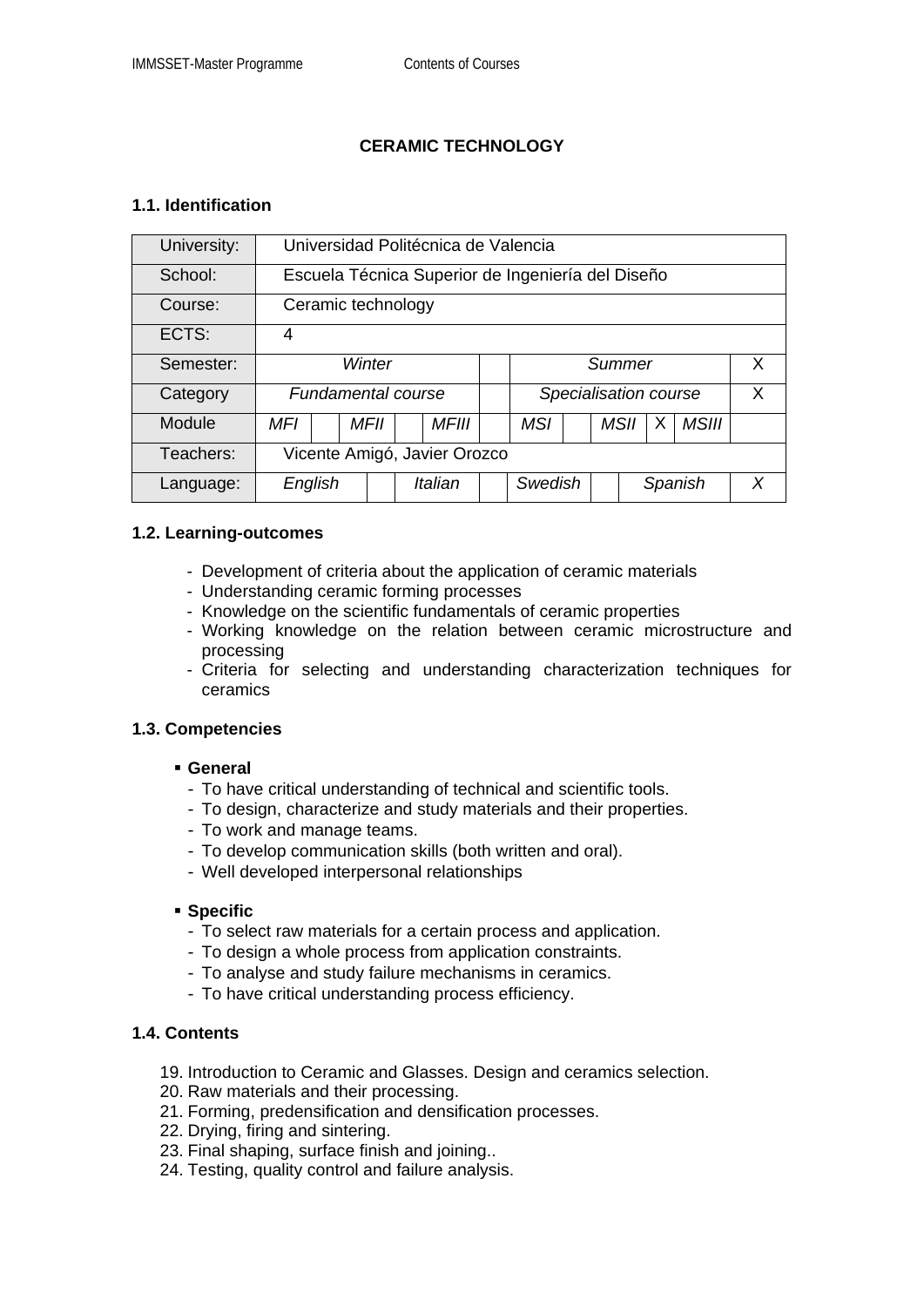# **CERAMIC TECHNOLOGY**

## **1.1. Identification**

| University: | Universidad Politécnica de Valencia               |  |      |         |              |  |                       |  |  |      |         |       |   |
|-------------|---------------------------------------------------|--|------|---------|--------------|--|-----------------------|--|--|------|---------|-------|---|
| School:     | Escuela Técnica Superior de Ingeniería del Diseño |  |      |         |              |  |                       |  |  |      |         |       |   |
| Course:     | Ceramic technology                                |  |      |         |              |  |                       |  |  |      |         |       |   |
| ECTS:       | 4                                                 |  |      |         |              |  |                       |  |  |      |         |       |   |
| Semester:   | Winter                                            |  |      |         |              |  | Summer                |  |  |      |         |       | X |
| Category    | <b>Fundamental course</b>                         |  |      |         |              |  | Specialisation course |  |  |      |         |       | X |
| Module      | MFI                                               |  | MFII |         | <b>MFIII</b> |  | <b>MSI</b>            |  |  | MSII | X       | MSIII |   |
| Teachers:   | Vicente Amigó, Javier Orozco                      |  |      |         |              |  |                       |  |  |      |         |       |   |
| Language:   | English                                           |  |      | Italian |              |  | Swedish               |  |  |      | Spanish |       | X |

## **1.2. Learning-outcomes**

- Development of criteria about the application of ceramic materials
- Understanding ceramic forming processes
- Knowledge on the scientific fundamentals of ceramic properties
- Working knowledge on the relation between ceramic microstructure and processing
- Criteria for selecting and understanding characterization techniques for ceramics

## **1.3. Competencies**

#### **General**

- To have critical understanding of technical and scientific tools.
- To design, characterize and study materials and their properties.
- To work and manage teams.
- To develop communication skills (both written and oral).
- Well developed interpersonal relationships

#### **Specific**

- To select raw materials for a certain process and application.
- To design a whole process from application constraints.
- To analyse and study failure mechanisms in ceramics.
- To have critical understanding process efficiency.

## **1.4. Contents**

- 19. Introduction to Ceramic and Glasses. Design and ceramics selection.
- 20. Raw materials and their processing.
- 21. Forming, predensification and densification processes.
- 22. Drying, firing and sintering.
- 23. Final shaping, surface finish and joining..
- 24. Testing, quality control and failure analysis.